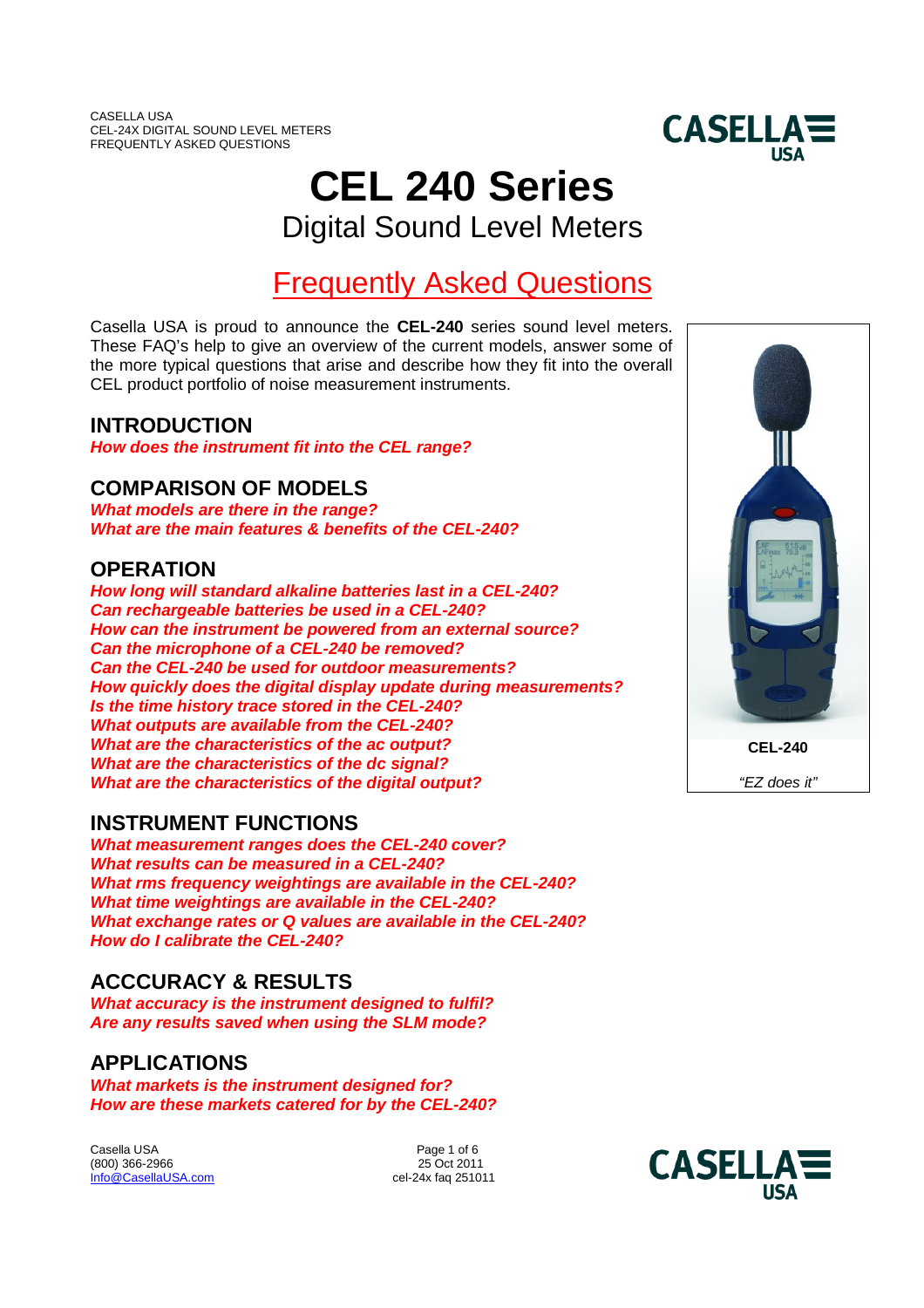

# **CEL 240 Series**

Digital Sound Level Meters

# Frequently Asked Questions

Casella USA is proud to announce the **CEL-240** series sound level meters. These FAQ's help to give an overview of the current models, answer some of the more typical questions that arise and describe how they fit into the overall CEL product portfolio of noise measurement instruments.

### **INTRODUCTION**

*How does the instrument fit into the CEL range?*

### **COMPARISON OF MODELS**

*What models are there in the range? What are the main features & benefits of the CEL-240?*

### **OPERATION**

*How long will standard alkaline batteries last in a CEL-240? Can rechargeable batteries be used in a CEL-240? How can the instrument be powered from an external source? Can the microphone of a CEL-240 be removed? Can the CEL-240 be used for outdoor measurements? How quickly does the digital display update during measurements? Is the time history trace stored in the CEL-240? What outputs are available from the CEL-240? What are the characteristics of the ac output? What are the characteristics of the dc signal? What are the characteristics of the digital output?*

### **INSTRUMENT FUNCTIONS**

*What measurement ranges does the CEL-240 cover? What results can be measured in a CEL-240? What rms frequency weightings are available in the CEL-240? What time weightings are available in the CEL-240? What exchange rates or Q values are available in the CEL-240? How do I calibrate the CEL-240?*

### **ACCCURACY & RESULTS**

*What accuracy is the instrument designed to fulfil? Are any results saved when using the SLM mode?*

### **APPLICATIONS**

*What markets is the instrument designed for? How are these markets catered for by the CEL-240?*

Casella USA Page 1 of 6 (800) 366-2966 Info@CasellaUSA.com cel-24x faq 251011



**CEL-240**

*"EZ does it"*

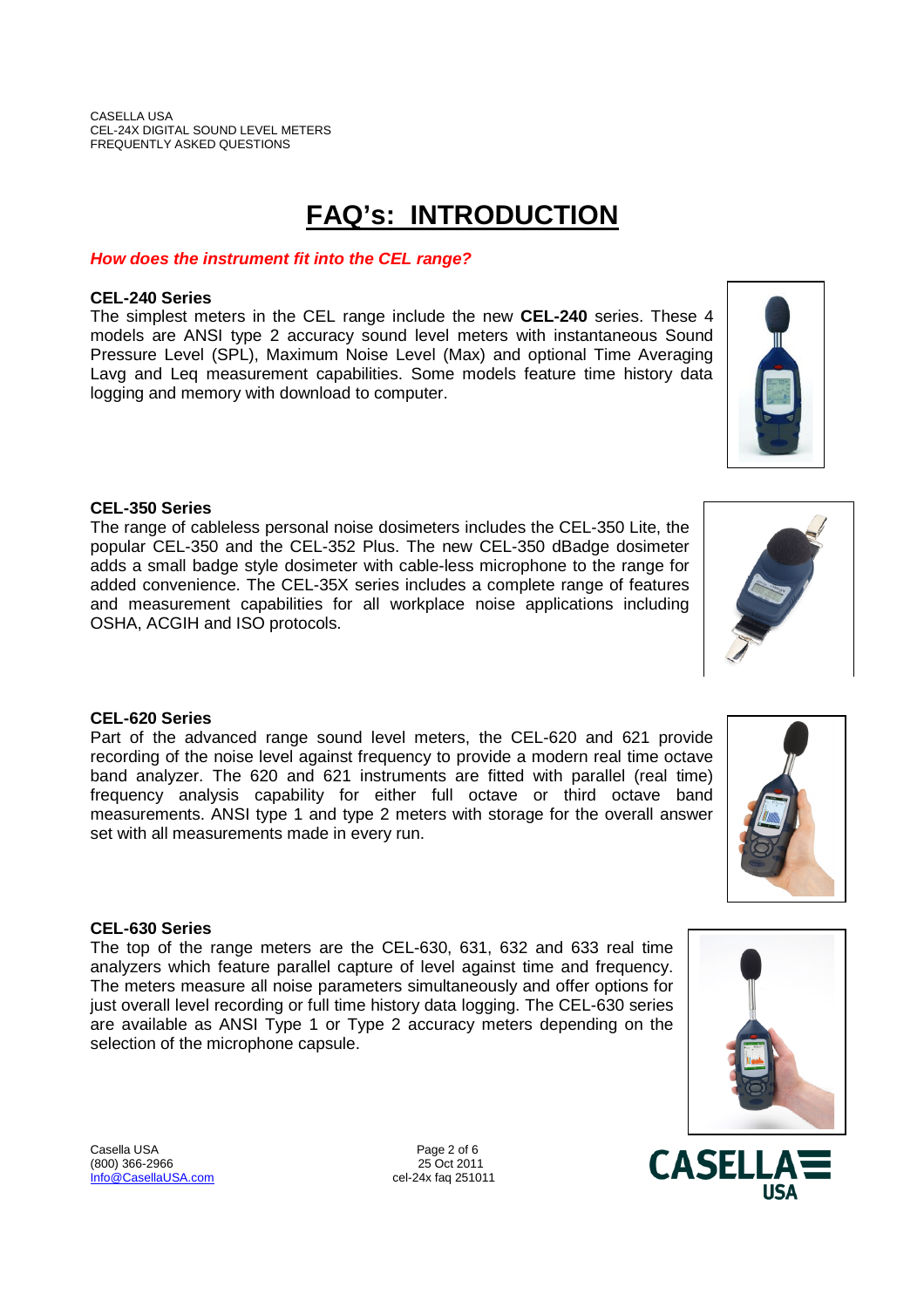# **FAQ's: INTRODUCTION**

#### *How does the instrument fit into the CEL range?*

#### **CEL-240 Series**

The simplest meters in the CEL range include the new **CEL-240** series. These 4 models are ANSI type 2 accuracy sound level meters with instantaneous Sound Pressure Level (SPL), Maximum Noise Level (Max) and optional Time Averaging Lavg and Leq measurement capabilities. Some models feature time history data logging and memory with download to computer.

#### **CEL-350 Series**

The range of cableless personal noise dosimeters includes the CEL-350 Lite, the popular CEL-350 and the CEL-352 Plus. The new CEL-350 dBadge dosimeter adds a small badge style dosimeter with cable-less microphone to the range for added convenience. The CEL-35X series includes a complete range of features and measurement capabilities for all workplace noise applications including OSHA, ACGIH and ISO protocols.

#### **CEL-620 Series**

Part of the advanced range sound level meters, the CEL-620 and 621 provide recording of the noise level against frequency to provide a modern real time octave band analyzer. The 620 and 621 instruments are fitted with parallel (real time) frequency analysis capability for either full octave or third octave band measurements. ANSI type 1 and type 2 meters with storage for the overall answer set with all measurements made in every run.

#### **CEL-630 Series**

The top of the range meters are the CEL-630, 631, 632 and 633 real time analyzers which feature parallel capture of level against time and frequency. The meters measure all noise parameters simultaneously and offer options for just overall level recording or full time history data logging. The CEL-630 series are available as ANSI Type 1 or Type 2 accuracy meters depending on the selection of the microphone capsule.

Casella USA **Page 2 of 6** (800) 366-2966 25 Oct 2011 Info@CasellaUSA.com cel-24x faq 251011







**CASELLA** 

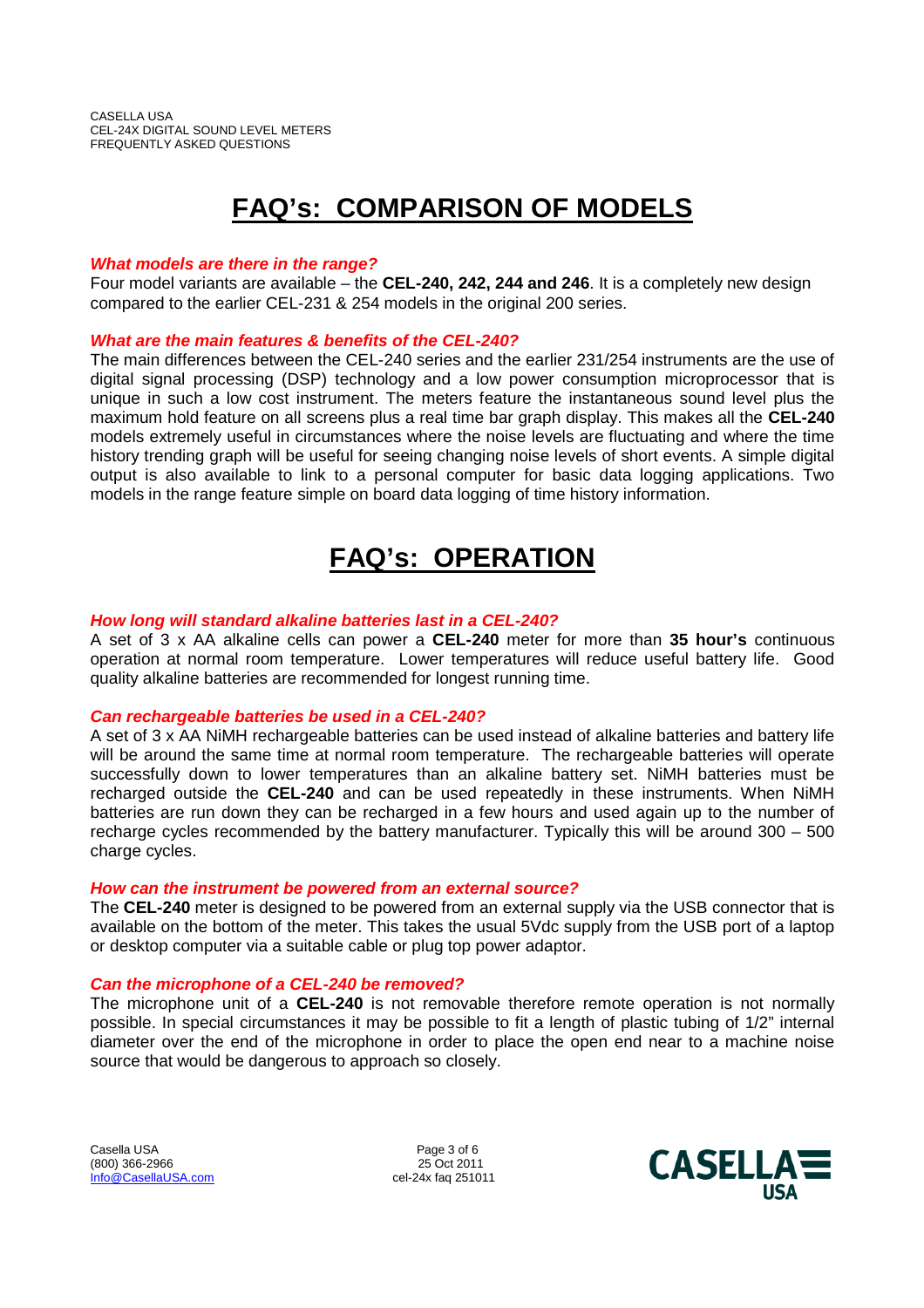# **FAQ's: COMPARISON OF MODELS**

#### *What models are there in the range?*

Four model variants are available – the **CEL-240, 242, 244 and 246**. It is a completely new design compared to the earlier CEL-231 & 254 models in the original 200 series.

#### *What are the main features & benefits of the CEL-240?*

The main differences between the CEL-240 series and the earlier 231/254 instruments are the use of digital signal processing (DSP) technology and a low power consumption microprocessor that is unique in such a low cost instrument. The meters feature the instantaneous sound level plus the maximum hold feature on all screens plus a real time bar graph display. This makes all the **CEL-240** models extremely useful in circumstances where the noise levels are fluctuating and where the time history trending graph will be useful for seeing changing noise levels of short events. A simple digital output is also available to link to a personal computer for basic data logging applications. Two models in the range feature simple on board data logging of time history information.

## **FAQ's: OPERATION**

#### *How long will standard alkaline batteries last in a CEL-240?*

A set of 3 x AA alkaline cells can power a **CEL-240** meter for more than **35 hour's** continuous operation at normal room temperature. Lower temperatures will reduce useful battery life. Good quality alkaline batteries are recommended for longest running time.

#### *Can rechargeable batteries be used in a CEL-240?*

A set of 3 x AA NiMH rechargeable batteries can be used instead of alkaline batteries and battery life will be around the same time at normal room temperature. The rechargeable batteries will operate successfully down to lower temperatures than an alkaline battery set. NiMH batteries must be recharged outside the **CEL-240** and can be used repeatedly in these instruments. When NiMH batteries are run down they can be recharged in a few hours and used again up to the number of recharge cycles recommended by the battery manufacturer. Typically this will be around 300 – 500 charge cycles.

#### *How can the instrument be powered from an external source?*

The **CEL-240** meter is designed to be powered from an external supply via the USB connector that is available on the bottom of the meter. This takes the usual 5Vdc supply from the USB port of a laptop or desktop computer via a suitable cable or plug top power adaptor.

#### *Can the microphone of a CEL-240 be removed?*

The microphone unit of a **CEL-240** is not removable therefore remote operation is not normally possible. In special circumstances it may be possible to fit a length of plastic tubing of 1/2" internal diameter over the end of the microphone in order to place the open end near to a machine noise source that would be dangerous to approach so closely.

Casella USA **Page 3 of 6** (800) 366-2966 25 Oct 2011 Info@CasellaUSA.com cel-24x faq 251011

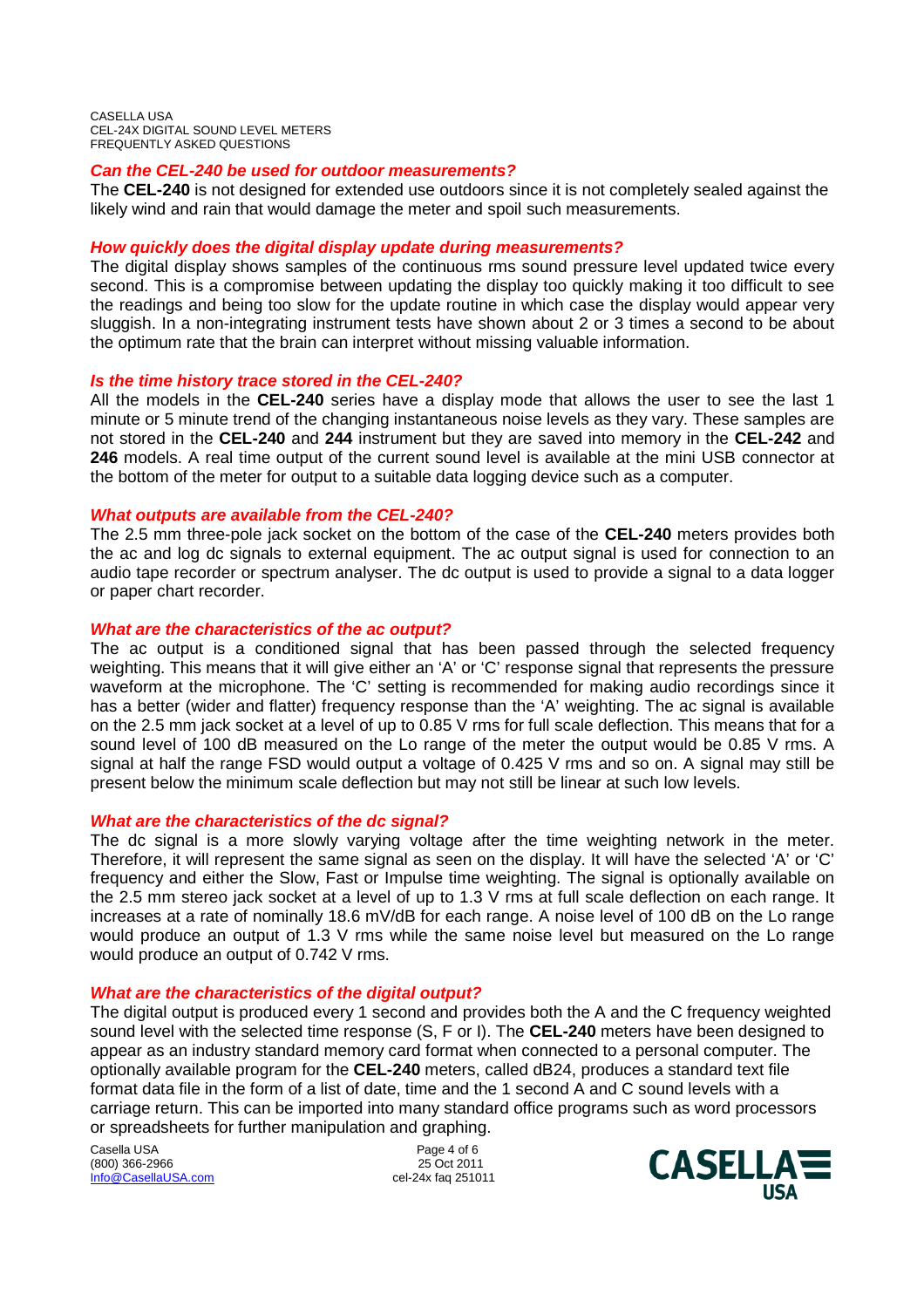CASELLA USA CEL-24X DIGITAL SOUND LEVEL METERS FREQUENTLY ASKED QUESTIONS

#### *Can the CEL-240 be used for outdoor measurements?*

The **CEL-240** is not designed for extended use outdoors since it is not completely sealed against the likely wind and rain that would damage the meter and spoil such measurements.

#### *How quickly does the digital display update during measurements?*

The digital display shows samples of the continuous rms sound pressure level updated twice every second. This is a compromise between updating the display too quickly making it too difficult to see the readings and being too slow for the update routine in which case the display would appear very sluggish. In a non-integrating instrument tests have shown about 2 or 3 times a second to be about the optimum rate that the brain can interpret without missing valuable information.

#### *Is the time history trace stored in the CEL-240?*

All the models in the **CEL-240** series have a display mode that allows the user to see the last 1 minute or 5 minute trend of the changing instantaneous noise levels as they vary. These samples are not stored in the **CEL-240** and **244** instrument but they are saved into memory in the **CEL-242** and **246** models. A real time output of the current sound level is available at the mini USB connector at the bottom of the meter for output to a suitable data logging device such as a computer.

#### *What outputs are available from the CEL-240?*

The 2.5 mm three-pole jack socket on the bottom of the case of the **CEL-240** meters provides both the ac and log dc signals to external equipment. The ac output signal is used for connection to an audio tape recorder or spectrum analyser. The dc output is used to provide a signal to a data logger or paper chart recorder.

#### *What are the characteristics of the ac output?*

The ac output is a conditioned signal that has been passed through the selected frequency weighting. This means that it will give either an 'A' or 'C' response signal that represents the pressure waveform at the microphone. The 'C' setting is recommended for making audio recordings since it has a better (wider and flatter) frequency response than the 'A' weighting. The ac signal is available on the 2.5 mm jack socket at a level of up to 0.85 V rms for full scale deflection. This means that for a sound level of 100 dB measured on the Lo range of the meter the output would be 0.85 V rms. A signal at half the range FSD would output a voltage of 0.425 V rms and so on. A signal may still be present below the minimum scale deflection but may not still be linear at such low levels.

#### *What are the characteristics of the dc signal?*

The dc signal is a more slowly varying voltage after the time weighting network in the meter. Therefore, it will represent the same signal as seen on the display. It will have the selected 'A' or 'C' frequency and either the Slow, Fast or Impulse time weighting. The signal is optionally available on the 2.5 mm stereo jack socket at a level of up to 1.3 V rms at full scale deflection on each range. It increases at a rate of nominally 18.6 mV/dB for each range. A noise level of 100 dB on the Lo range would produce an output of 1.3 V rms while the same noise level but measured on the Lo range would produce an output of 0.742 V rms.

#### *What are the characteristics of the digital output?*

The digital output is produced every 1 second and provides both the A and the C frequency weighted sound level with the selected time response (S, F or I). The **CEL-240** meters have been designed to appear as an industry standard memory card format when connected to a personal computer. The optionally available program for the **CEL-240** meters, called dB24, produces a standard text file format data file in the form of a list of date, time and the 1 second A and C sound levels with a carriage return. This can be imported into many standard office programs such as word processors or spreadsheets for further manipulation and graphing.

Casella USA Page 4 of 6 (800) 366-2966 Info@CasellaUSA.com cel-24x faq 251011

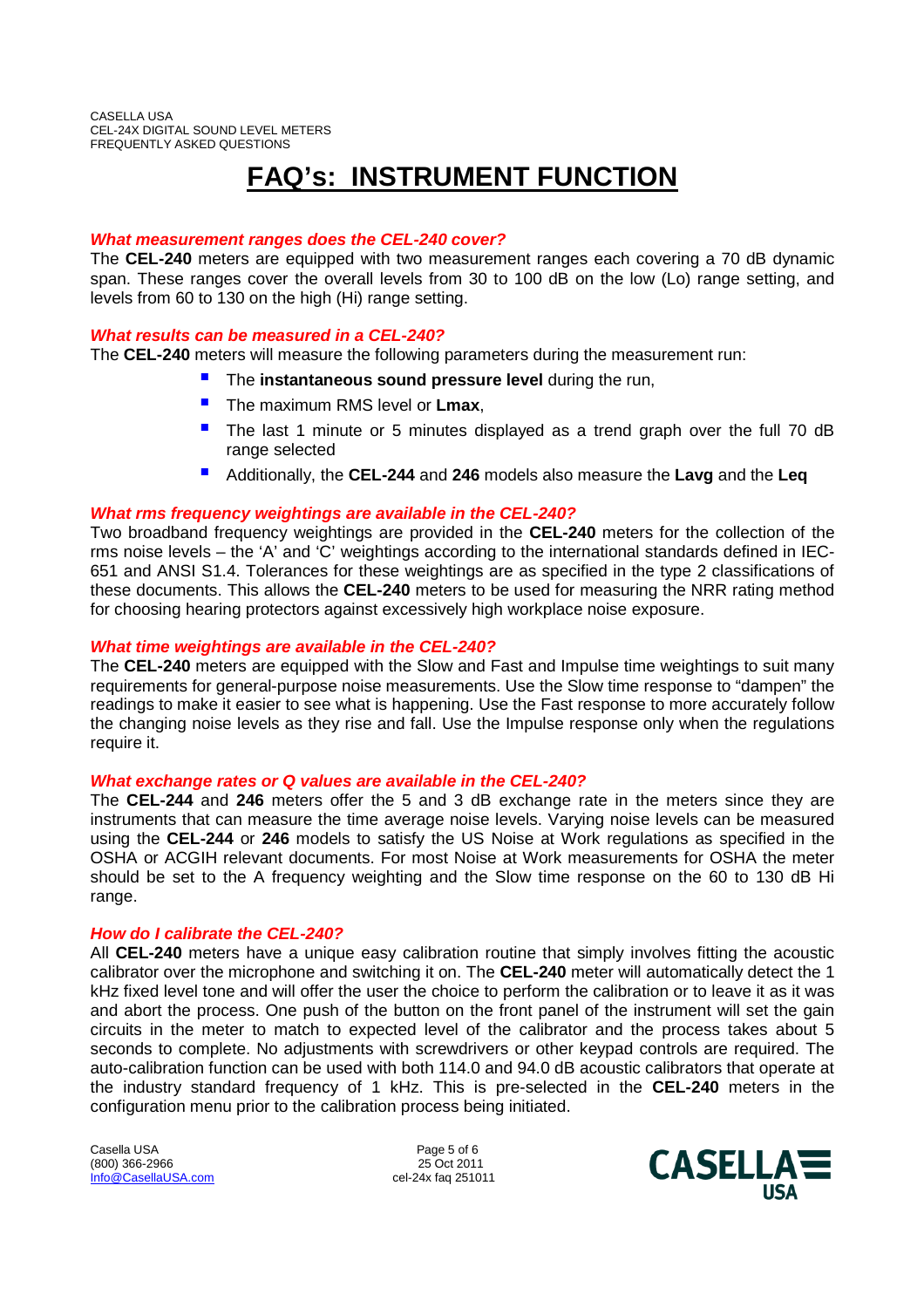# **FAQ's: INSTRUMENT FUNCTION**

#### *What measurement ranges does the CEL-240 cover?*

The **CEL-240** meters are equipped with two measurement ranges each covering a 70 dB dynamic span. These ranges cover the overall levels from 30 to 100 dB on the low (Lo) range setting, and levels from 60 to 130 on the high (Hi) range setting.

#### *What results can be measured in a CEL-240?*

The **CEL-240** meters will measure the following parameters during the measurement run:

- The **instantaneous sound pressure level** during the run,
- **The maximum RMS level or Lmax,**
- The last 1 minute or 5 minutes displayed as a trend graph over the full 70 dB range selected
- Additionally, the **CEL-244** and **<sup>246</sup>** models also measure the **Lavg** and the **Leq**

#### *What rms frequency weightings are available in the CEL-240?*

Two broadband frequency weightings are provided in the **CEL-240** meters for the collection of the rms noise levels – the 'A' and 'C' weightings according to the international standards defined in IEC-651 and ANSI S1.4. Tolerances for these weightings are as specified in the type 2 classifications of these documents. This allows the **CEL-240** meters to be used for measuring the NRR rating method for choosing hearing protectors against excessively high workplace noise exposure.

#### *What time weightings are available in the CEL-240?*

The **CEL-240** meters are equipped with the Slow and Fast and Impulse time weightings to suit many requirements for general-purpose noise measurements. Use the Slow time response to "dampen" the readings to make it easier to see what is happening. Use the Fast response to more accurately follow the changing noise levels as they rise and fall. Use the Impulse response only when the regulations require it.

#### *What exchange rates or Q values are available in the CEL-240?*

The **CEL-244** and **246** meters offer the 5 and 3 dB exchange rate in the meters since they are instruments that can measure the time average noise levels. Varying noise levels can be measured using the **CEL-244** or **246** models to satisfy the US Noise at Work regulations as specified in the OSHA or ACGIH relevant documents. For most Noise at Work measurements for OSHA the meter should be set to the A frequency weighting and the Slow time response on the 60 to 130 dB Hi range.

#### *How do I calibrate the CEL-240?*

All **CEL-240** meters have a unique easy calibration routine that simply involves fitting the acoustic calibrator over the microphone and switching it on. The **CEL-240** meter will automatically detect the 1 kHz fixed level tone and will offer the user the choice to perform the calibration or to leave it as it was and abort the process. One push of the button on the front panel of the instrument will set the gain circuits in the meter to match to expected level of the calibrator and the process takes about 5 seconds to complete. No adjustments with screwdrivers or other keypad controls are required. The auto-calibration function can be used with both 114.0 and 94.0 dB acoustic calibrators that operate at the industry standard frequency of 1 kHz. This is pre-selected in the **CEL-240** meters in the configuration menu prior to the calibration process being initiated.

Casella USA **Page 5 of 6** (800) 366-2966 25 Oct 2011 Info@CasellaUSA.com cel-24x faq 251011